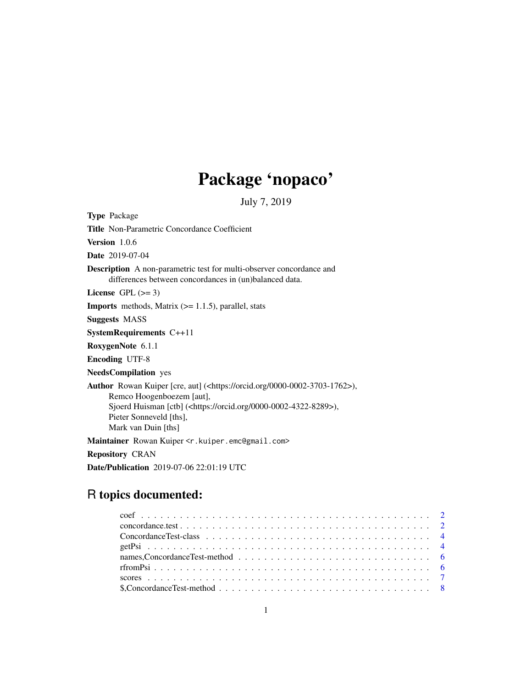## Package 'nopaco'

July 7, 2019

Type Package Title Non-Parametric Concordance Coefficient Version 1.0.6 Date 2019-07-04 Description A non-parametric test for multi-observer concordance and differences between concordances in (un)balanced data. License GPL  $(>= 3)$ **Imports** methods, Matrix  $(>= 1.1.5)$ , parallel, stats Suggests MASS SystemRequirements C++11 RoxygenNote 6.1.1 Encoding UTF-8 NeedsCompilation yes Author Rowan Kuiper [cre, aut] (<https://orcid.org/0000-0002-3703-1762>), Remco Hoogenboezem [aut], Sjoerd Huisman [ctb] (<https://orcid.org/0000-0002-4322-8289>), Pieter Sonneveld [ths], Mark van Duin [ths] Maintainer Rowan Kuiper <r.kuiper.emc@gmail.com> Repository CRAN

Date/Publication 2019-07-06 22:01:19 UTC

### R topics documented: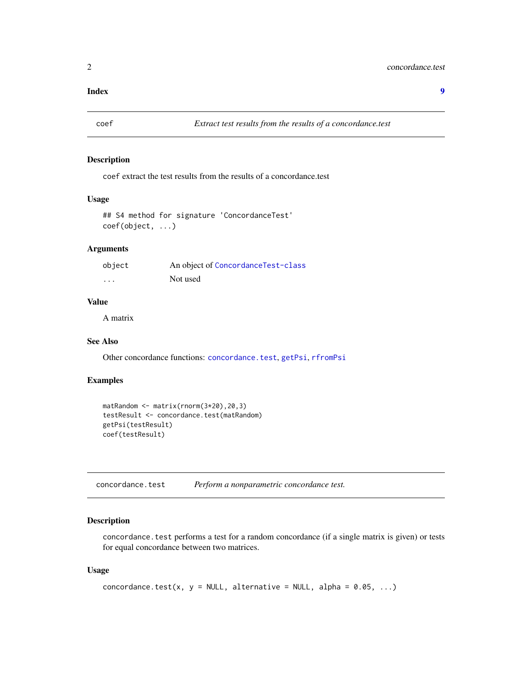#### <span id="page-1-0"></span>**Index** [9](#page-8-0)

<span id="page-1-2"></span>

#### Description

coef extract the test results from the results of a concordance.test

#### Usage

```
## S4 method for signature 'ConcordanceTest'
coef(object, ...)
```
#### Arguments

| object   | An object of ConcordanceTest-class |
|----------|------------------------------------|
| $\cdots$ | Not used                           |

### Value

A matrix

#### See Also

Other concordance functions: [concordance.test](#page-1-1), [getPsi](#page-3-2), [rfromPsi](#page-5-1)

#### Examples

```
matRandom <- matrix(rnorm(3*20),20,3)
testResult <- concordance.test(matRandom)
getPsi(testResult)
coef(testResult)
```
<span id="page-1-1"></span>concordance.test *Perform a nonparametric concordance test.*

#### Description

concordance.test performs a test for a random concordance (if a single matrix is given) or tests for equal concordance between two matrices.

#### Usage

```
concordance.test(x, y = NULL, alternative = NULL, alpha = 0.05, ...)
```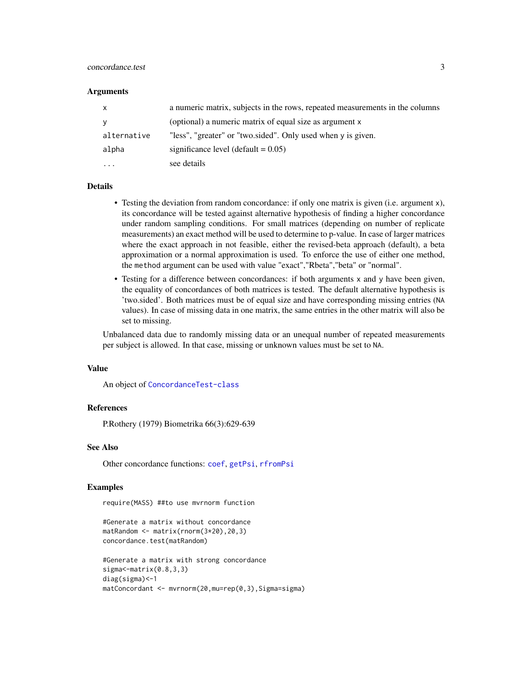#### <span id="page-2-0"></span>concordance.test 3

#### **Arguments**

| $\mathsf{x}$ | a numeric matrix, subjects in the rows, repeated measurements in the columns |
|--------------|------------------------------------------------------------------------------|
| <b>V</b>     | (optional) a numeric matrix of equal size as argument x                      |
| alternative  | "less", "greater" or "two.sided". Only used when y is given.                 |
| alpha        | significance level (default $= 0.05$ )                                       |
| $\cdots$     | see details                                                                  |

#### Details

- Testing the deviation from random concordance: if only one matrix is given (i.e. argument x), its concordance will be tested against alternative hypothesis of finding a higher concordance under random sampling conditions. For small matrices (depending on number of replicate measurements) an exact method will be used to determine to p-value. In case of larger matrices where the exact approach in not feasible, either the revised-beta approach (default), a beta approximation or a normal approximation is used. To enforce the use of either one method, the method argument can be used with value "exact","Rbeta","beta" or "normal".
- Testing for a difference between concordances: if both arguments x and y have been given, the equality of concordances of both matrices is tested. The default alternative hypothesis is 'two.sided'. Both matrices must be of equal size and have corresponding missing entries (NA values). In case of missing data in one matrix, the same entries in the other matrix will also be set to missing.

Unbalanced data due to randomly missing data or an unequal number of repeated measurements per subject is allowed. In that case, missing or unknown values must be set to NA.

#### Value

An object of [ConcordanceTest-class](#page-3-1)

#### References

P.Rothery (1979) Biometrika 66(3):629-639

#### See Also

Other concordance functions: [coef](#page-1-2), [getPsi](#page-3-2), [rfromPsi](#page-5-1)

#### Examples

require(MASS) ##to use mvrnorm function

#Generate a matrix without concordance matRandom <- matrix(rnorm(3\*20),20,3) concordance.test(matRandom)

```
#Generate a matrix with strong concordance
sigma<-matrix(0.8,3,3)
diag(sigma)<-1
matConcordant <- mvrnorm(20,mu=rep(0,3),Sigma=sigma)
```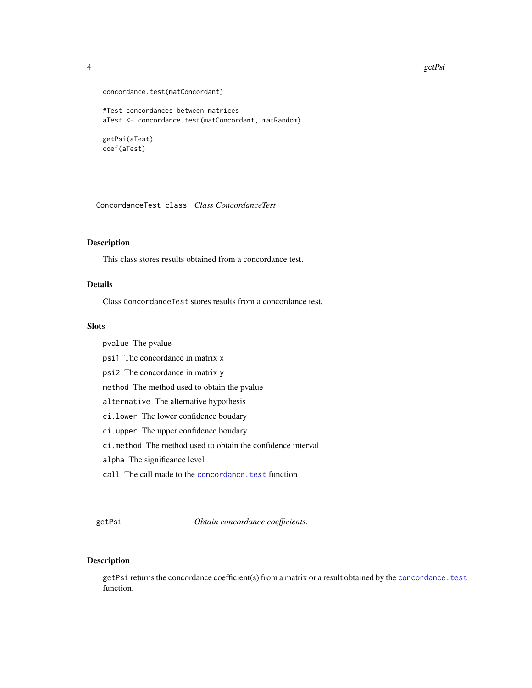```
concordance.test(matConcordant)
#Test concordances between matrices
aTest <- concordance.test(matConcordant, matRandom)
getPsi(aTest)
coef(aTest)
```
<span id="page-3-1"></span>ConcordanceTest-class *Class ConcordanceTest*

#### Description

This class stores results obtained from a concordance test.

#### Details

Class ConcordanceTest stores results from a concordance test.

#### **Slots**

pvalue The pvalue

- psi1 The concordance in matrix x
- psi2 The concordance in matrix y

method The method used to obtain the pvalue

- alternative The alternative hypothesis
- ci.lower The lower confidence boudary
- ci.upper The upper confidence boudary

ci.method The method used to obtain the confidence interval

alpha The significance level

call The call made to the concordance. test function

<span id="page-3-2"></span>getPsi *Obtain concordance coefficients.*

#### Description

getPsi returns the concordance coefficient(s) from a matrix or a result obtained by the [concordance.test](#page-1-1) function.

<span id="page-3-0"></span>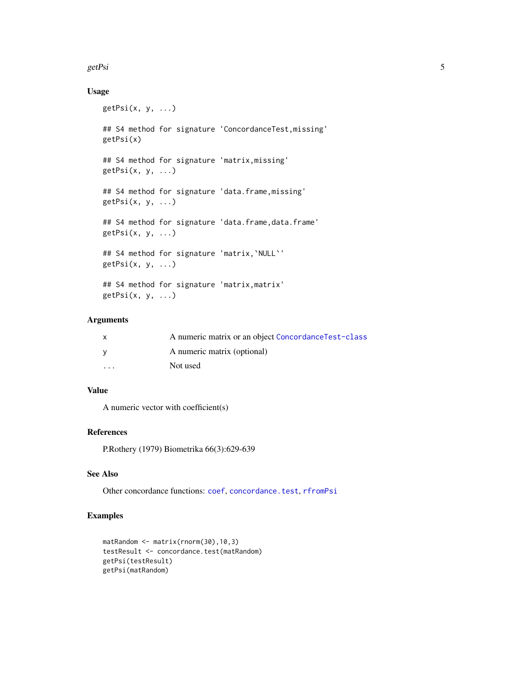#### <span id="page-4-0"></span>getPsi 5

#### Usage

```
getPsi(x, y, ...)
## S4 method for signature 'ConcordanceTest,missing'
getPsi(x)
## S4 method for signature 'matrix,missing'
getPsi(x, y, ...)
## S4 method for signature 'data.frame,missing'
getPsi(x, y, \ldots)## S4 method for signature 'data.frame,data.frame'
getPsi(x, y, ...)
## S4 method for signature 'matrix,`NULL`'
getPsi(x, y, \ldots)## S4 method for signature 'matrix,matrix'
```

```
getPsi(x, y, \ldots)
```
### Arguments

|                         | A numeric matrix or an object Concordance Test-class |
|-------------------------|------------------------------------------------------|
|                         | A numeric matrix (optional)                          |
| $\cdot$ $\cdot$ $\cdot$ | Not used                                             |

#### Value

A numeric vector with coefficient(s)

#### References

P.Rothery (1979) Biometrika 66(3):629-639

#### See Also

Other concordance functions: [coef](#page-1-2), [concordance.test](#page-1-1), [rfromPsi](#page-5-1)

### Examples

```
matRandom <- matrix(rnorm(30),10,3)
testResult <- concordance.test(matRandom)
getPsi(testResult)
getPsi(matRandom)
```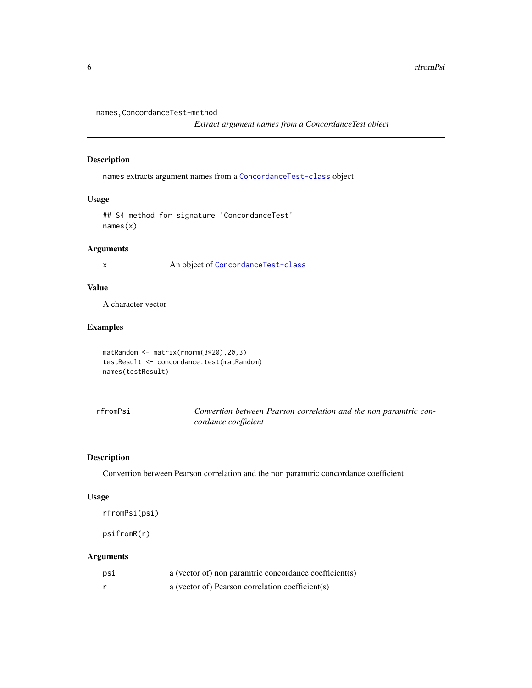<span id="page-5-0"></span>names,ConcordanceTest-method

*Extract argument names from a ConcordanceTest object*

#### Description

names extracts argument names from a [ConcordanceTest-class](#page-3-1) object

#### Usage

## S4 method for signature 'ConcordanceTest' names(x)

#### Arguments

x An object of [ConcordanceTest-class](#page-3-1)

#### Value

A character vector

#### Examples

```
matRandom <- matrix(rnorm(3*20),20,3)
testResult <- concordance.test(matRandom)
names(testResult)
```
<span id="page-5-1"></span>rfromPsi *Convertion between Pearson correlation and the non paramtric concordance coefficient*

#### Description

Convertion between Pearson correlation and the non paramtric concordance coefficient

#### Usage

rfromPsi(psi)

psifromR(r)

#### Arguments

| psi | a (vector of) non paramtric concordance coefficient(s) |
|-----|--------------------------------------------------------|
|     | a (vector of) Pearson correlation coefficient(s)       |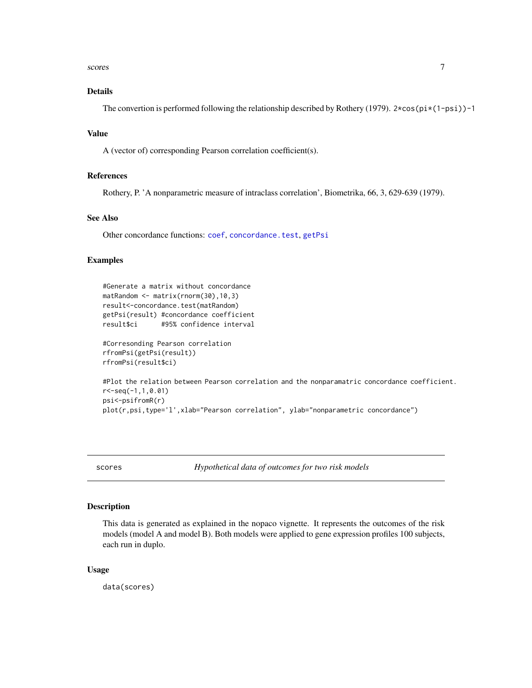#### <span id="page-6-0"></span>scores and the second state of the second state of the second state of the second state of the second state of the second state of the second state of the second state of the second state of the second state of the second

#### Details

The convertion is performed following the relationship described by Rothery (1979).  $2 \times \cos(\pi x (1 - \pi) - 1)$ 

#### Value

A (vector of) corresponding Pearson correlation coefficient(s).

#### References

Rothery, P. 'A nonparametric measure of intraclass correlation', Biometrika, 66, 3, 629-639 (1979).

#### See Also

Other concordance functions: [coef](#page-1-2), [concordance.test](#page-1-1), [getPsi](#page-3-2)

#### Examples

```
#Generate a matrix without concordance
matRandom <- matrix(rnorm(30),10,3)
result<-concordance.test(matRandom)
getPsi(result) #concordance coefficient
result$ci #95% confidence interval
#Corresonding Pearson correlation
rfromPsi(getPsi(result))
```

```
rfromPsi(result$ci)
```

```
#Plot the relation between Pearson correlation and the nonparamatric concordance coefficient.
r<-seq(-1,1,0.01)
psi<-psifromR(r)
plot(r,psi,type='l',xlab="Pearson correlation", ylab="nonparametric concordance")
```
scores *Hypothetical data of outcomes for two risk models*

#### Description

This data is generated as explained in the nopaco vignette. It represents the outcomes of the risk models (model A and model B). Both models were applied to gene expression profiles 100 subjects, each run in duplo.

#### Usage

data(scores)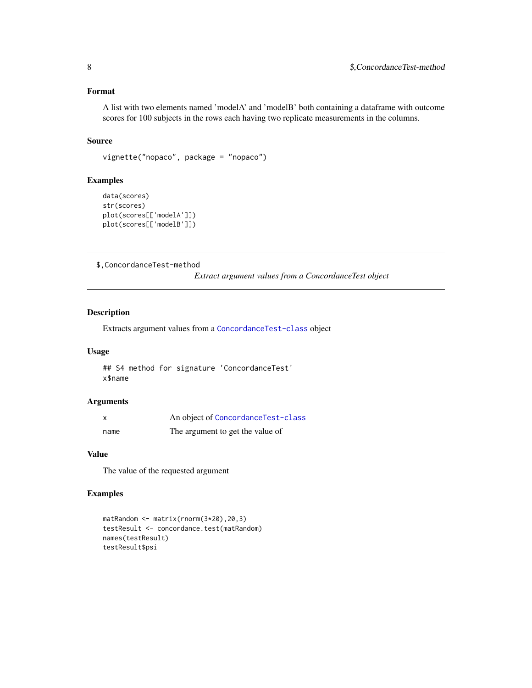#### <span id="page-7-0"></span>Format

A list with two elements named 'modelA' and 'modelB' both containing a dataframe with outcome scores for 100 subjects in the rows each having two replicate measurements in the columns.

#### Source

```
vignette("nopaco", package = "nopaco")
```
#### Examples

```
data(scores)
str(scores)
plot(scores[['modelA']])
plot(scores[['modelB']])
```
\$,ConcordanceTest-method

*Extract argument values from a ConcordanceTest object*

#### Description

Extracts argument values from a [ConcordanceTest-class](#page-3-1) object

#### Usage

## S4 method for signature 'ConcordanceTest' x\$name

#### Arguments

| X    | An object of ConcordanceTest-class |
|------|------------------------------------|
| name | The argument to get the value of   |

#### Value

The value of the requested argument

#### Examples

```
matRandom <- matrix(rnorm(3*20),20,3)
testResult <- concordance.test(matRandom)
names(testResult)
testResult$psi
```